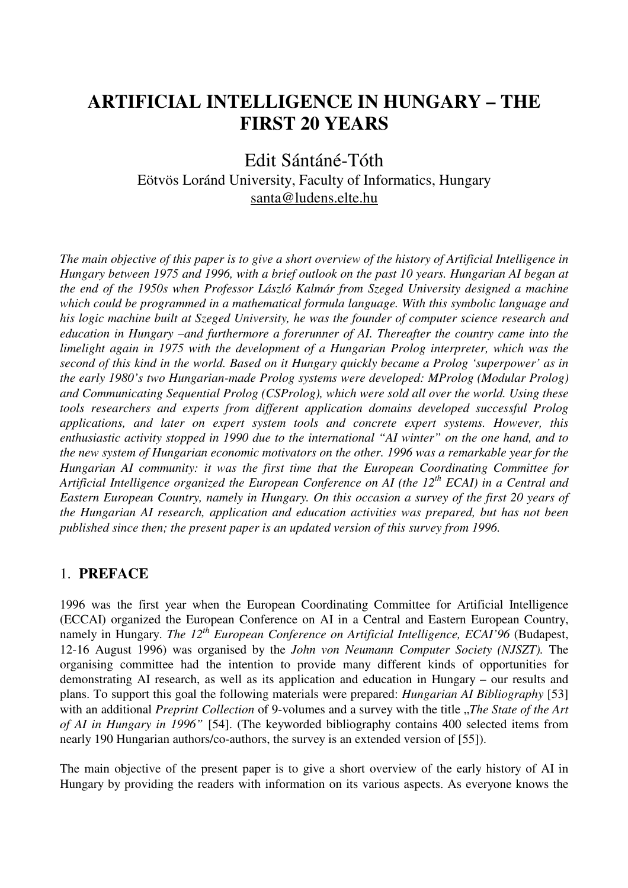# **ARTIFICIAL INTELLIGENCE IN HUNGARY – THE FIRST 20 YEARS**

## Edit Sántáné-Tóth Eötvös Loránd University, Faculty of Informatics, Hungary santa@ludens.elte.hu

*The main objective of this paper is to give a short overview of the history of Artificial Intelligence in Hungary between 1975 and 1996, with a brief outlook on the past 10 years. Hungarian AI began at the end of the 1950s when Professor László Kalmár from Szeged University designed a machine which could be programmed in a mathematical formula language. With this symbolic language and his logic machine built at Szeged University, he was the founder of computer science research and education in Hungary –and furthermore a forerunner of AI. Thereafter the country came into the limelight again in 1975 with the development of a Hungarian Prolog interpreter, which was the second of this kind in the world. Based on it Hungary quickly became a Prolog 'superpower' as in the early 1980's two Hungarian-made Prolog systems were developed: MProlog (Modular Prolog) and Communicating Sequential Prolog (CSProlog), which were sold all over the world. Using these tools researchers and experts from different application domains developed successful Prolog applications, and later on expert system tools and concrete expert systems. However, this enthusiastic activity stopped in 1990 due to the international "AI winter" on the one hand, and to the new system of Hungarian economic motivators on the other. 1996 was a remarkable year for the Hungarian AI community: it was the first time that the European Coordinating Committee for Artificial Intelligence organized the European Conference on AI (the 12th ECAI) in a Central and Eastern European Country, namely in Hungary. On this occasion a survey of the first 20 years of the Hungarian AI research, application and education activities was prepared, but has not been published since then; the present paper is an updated version of this survey from 1996.* 

## 1. **PREFACE**

1996 was the first year when the European Coordinating Committee for Artificial Intelligence (ECCAI) organized the European Conference on AI in a Central and Eastern European Country, namely in Hungary. *The 12<sup>th</sup>* European Conference on Artificial Intelligence, ECAI'96 (Budapest, 12-16 August 1996) was organised by the *John von Neumann Computer Society (NJSZT).* The organising committee had the intention to provide many different kinds of opportunities for demonstrating AI research, as well as its application and education in Hungary – our results and plans. To support this goal the following materials were prepared: *Hungarian AI Bibliography* [53] with an additional *Preprint Collection* of 9-volumes and a survey with the title *"The State of the Art of AI in Hungary in 1996"* [54]. (The keyworded bibliography contains 400 selected items from nearly 190 Hungarian authors/co-authors, the survey is an extended version of [55]).

The main objective of the present paper is to give a short overview of the early history of AI in Hungary by providing the readers with information on its various aspects. As everyone knows the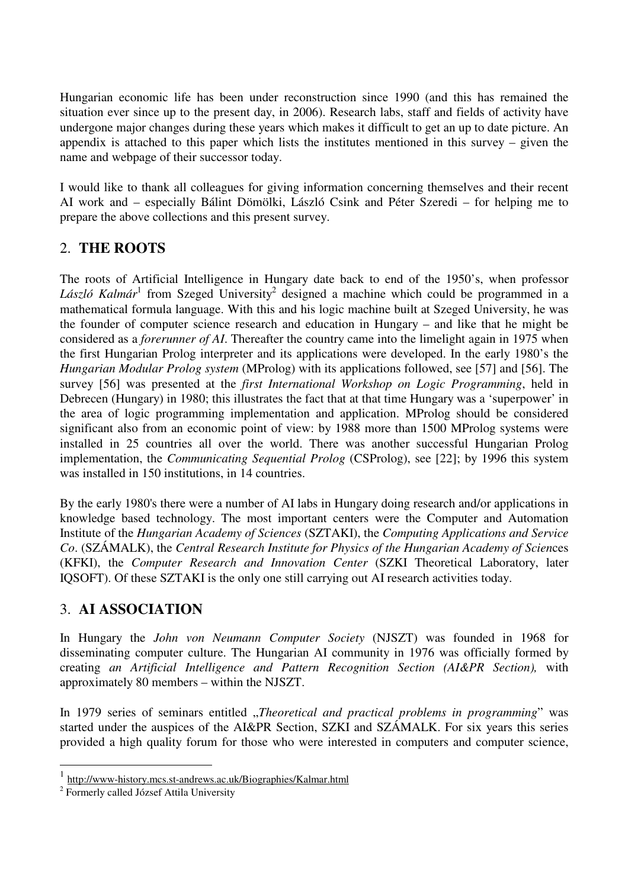Hungarian economic life has been under reconstruction since 1990 (and this has remained the situation ever since up to the present day, in 2006). Research labs, staff and fields of activity have undergone major changes during these years which makes it difficult to get an up to date picture. An appendix is attached to this paper which lists the institutes mentioned in this survey – given the name and webpage of their successor today.

I would like to thank all colleagues for giving information concerning themselves and their recent AI work and – especially Bálint Dömölki, László Csink and Péter Szeredi – for helping me to prepare the above collections and this present survey.

## 2. **THE ROOTS**

The roots of Artificial Intelligence in Hungary date back to end of the 1950's, when professor László Kalmár<sup>1</sup> from Szeged University<sup>2</sup> designed a machine which could be programmed in a mathematical formula language. With this and his logic machine built at Szeged University, he was the founder of computer science research and education in Hungary – and like that he might be considered as a *forerunner of AI*. Thereafter the country came into the limelight again in 1975 when the first Hungarian Prolog interpreter and its applications were developed. In the early 1980's the *Hungarian Modular Prolog system* (MProlog) with its applications followed, see [57] and [56]. The survey [56] was presented at the *first International Workshop on Logic Programming*, held in Debrecen (Hungary) in 1980; this illustrates the fact that at that time Hungary was a 'superpower' in the area of logic programming implementation and application. MProlog should be considered significant also from an economic point of view: by 1988 more than 1500 MProlog systems were installed in 25 countries all over the world. There was another successful Hungarian Prolog implementation, the *Communicating Sequential Prolog* (CSProlog), see [22]; by 1996 this system was installed in 150 institutions, in 14 countries.

By the early 1980's there were a number of AI labs in Hungary doing research and/or applications in knowledge based technology. The most important centers were the Computer and Automation Institute of the *Hungarian Academy of Sciences* (SZTAKI), the *Computing Applications and Service Co*. (SZÁMALK), the *Central Research Institute for Physics of the Hungarian Academy of Scien*ces (KFKI), the *Computer Research and Innovation Center* (SZKI Theoretical Laboratory, later IQSOFT). Of these SZTAKI is the only one still carrying out AI research activities today.

## 3. **AI ASSOCIATION**

In Hungary the *John von Neumann Computer Society* (NJSZT) was founded in 1968 for disseminating computer culture. The Hungarian AI community in 1976 was officially formed by creating *an Artificial Intelligence and Pattern Recognition Section (AI&PR Section),* with approximately 80 members – within the NJSZT.

In 1979 series of seminars entitled *"Theoretical and practical problems in programming*" was started under the auspices of the AI&PR Section, SZKI and SZÁMALK. For six years this series provided a high quality forum for those who were interested in computers and computer science,

 $\overline{a}$ 

<sup>1</sup> http://www-history.mcs.st-andrews.ac.uk/Biographies/Kalmar.html

<sup>&</sup>lt;sup>2</sup> Formerly called József Attila University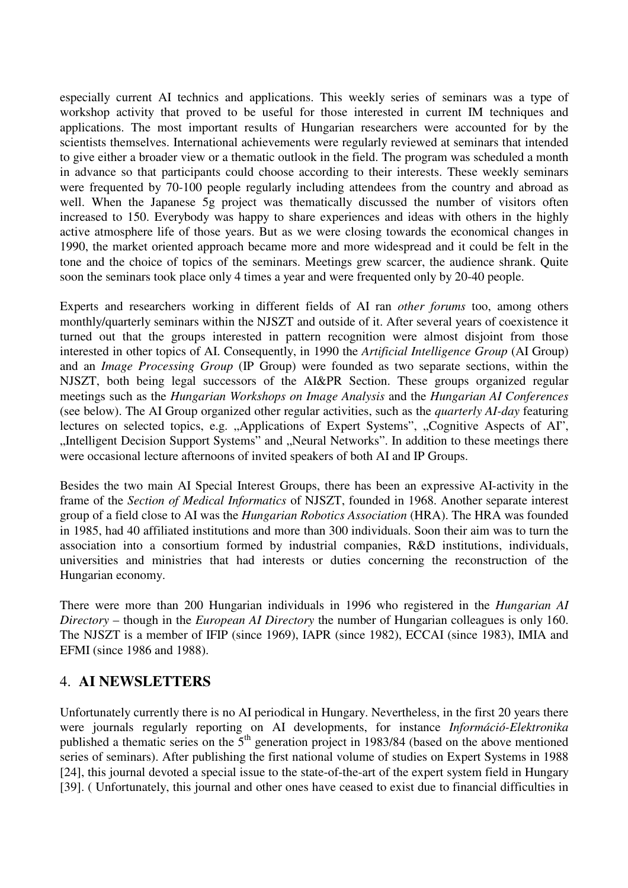especially current AI technics and applications. This weekly series of seminars was a type of workshop activity that proved to be useful for those interested in current IM techniques and applications. The most important results of Hungarian researchers were accounted for by the scientists themselves. International achievements were regularly reviewed at seminars that intended to give either a broader view or a thematic outlook in the field. The program was scheduled a month in advance so that participants could choose according to their interests. These weekly seminars were frequented by 70-100 people regularly including attendees from the country and abroad as well. When the Japanese 5g project was thematically discussed the number of visitors often increased to 150. Everybody was happy to share experiences and ideas with others in the highly active atmosphere life of those years. But as we were closing towards the economical changes in 1990, the market oriented approach became more and more widespread and it could be felt in the tone and the choice of topics of the seminars. Meetings grew scarcer, the audience shrank. Quite soon the seminars took place only 4 times a year and were frequented only by 20-40 people.

Experts and researchers working in different fields of AI ran *other forums* too, among others monthly/quarterly seminars within the NJSZT and outside of it. After several years of coexistence it turned out that the groups interested in pattern recognition were almost disjoint from those interested in other topics of AI. Consequently, in 1990 the *Artificial Intelligence Group* (AI Group) and an *Image Processing Group* (IP Group) were founded as two separate sections, within the NJSZT, both being legal successors of the AI&PR Section. These groups organized regular meetings such as the *Hungarian Workshops on Image Analysis* and the *Hungarian AI Conferences* (see below). The AI Group organized other regular activities, such as the *quarterly AI-day* featuring lectures on selected topics, e.g. "Applications of Expert Systems", "Cognitive Aspects of AI", "Intelligent Decision Support Systems" and "Neural Networks". In addition to these meetings there were occasional lecture afternoons of invited speakers of both AI and IP Groups.

Besides the two main AI Special Interest Groups, there has been an expressive AI-activity in the frame of the *Section of Medical Informatics* of NJSZT, founded in 1968. Another separate interest group of a field close to AI was the *Hungarian Robotics Association* (HRA). The HRA was founded in 1985, had 40 affiliated institutions and more than 300 individuals. Soon their aim was to turn the association into a consortium formed by industrial companies, R&D institutions, individuals, universities and ministries that had interests or duties concerning the reconstruction of the Hungarian economy.

There were more than 200 Hungarian individuals in 1996 who registered in the *Hungarian AI Directory* – though in the *European AI Directory* the number of Hungarian colleagues is only 160. The NJSZT is a member of IFIP (since 1969), IAPR (since 1982), ECCAI (since 1983), IMIA and EFMI (since 1986 and 1988).

## 4. **AI NEWSLETTERS**

Unfortunately currently there is no AI periodical in Hungary. Nevertheless, in the first 20 years there were journals regularly reporting on AI developments, for instance *Információ-Elektronika* published a thematic series on the  $5<sup>th</sup>$  generation project in 1983/84 (based on the above mentioned series of seminars). After publishing the first national volume of studies on Expert Systems in 1988 [24], this journal devoted a special issue to the state-of-the-art of the expert system field in Hungary [39]. ( Unfortunately, this journal and other ones have ceased to exist due to financial difficulties in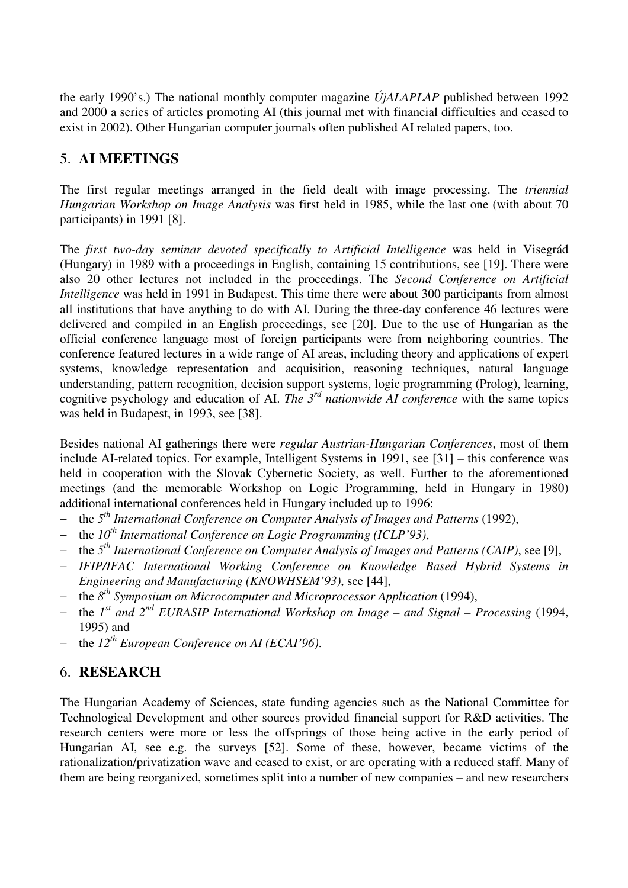the early 1990's.) The national monthly computer magazine *ÚjALAPLAP* published between 1992 and 2000 a series of articles promoting AI (this journal met with financial difficulties and ceased to exist in 2002). Other Hungarian computer journals often published AI related papers, too.

## 5. **AI MEETINGS**

The first regular meetings arranged in the field dealt with image processing. The *triennial Hungarian Workshop on Image Analysis* was first held in 1985, while the last one (with about 70 participants) in 1991 [8].

The *first two-day seminar devoted specifically to Artificial Intelligence* was held in Visegrád (Hungary) in 1989 with a proceedings in English, containing 15 contributions, see [19]. There were also 20 other lectures not included in the proceedings. The *Second Conference on Artificial Intelligence* was held in 1991 in Budapest. This time there were about 300 participants from almost all institutions that have anything to do with AI. During the three-day conference 46 lectures were delivered and compiled in an English proceedings, see [20]. Due to the use of Hungarian as the official conference language most of foreign participants were from neighboring countries. The conference featured lectures in a wide range of AI areas, including theory and applications of expert systems, knowledge representation and acquisition, reasoning techniques, natural language understanding, pattern recognition, decision support systems, logic programming (Prolog), learning, cognitive psychology and education of AI. *The 3rd nationwide AI conference* with the same topics was held in Budapest, in 1993, see [38].

Besides national AI gatherings there were *regular Austrian-Hungarian Conferences*, most of them include AI-related topics. For example, Intelligent Systems in 1991, see [31] – this conference was held in cooperation with the Slovak Cybernetic Society, as well. Further to the aforementioned meetings (and the memorable Workshop on Logic Programming, held in Hungary in 1980) additional international conferences held in Hungary included up to 1996:

- − the *5th International Conference on Computer Analysis of Images and Patterns* (1992),
- − the *10th International Conference on Logic Programming (ICLP'93)*,
- − the *5th International Conference on Computer Analysis of Images and Patterns (CAIP)*, see [9],
- − *IFIP/IFAC International Working Conference on Knowledge Based Hybrid Systems in Engineering and Manufacturing (KNOWHSEM'93)*, see [44],
- − the *8th Symposium on Microcomputer and Microprocessor Application* (1994),
- − the *1 st and 2nd EURASIP International Workshop on Image and Signal Processing* (1994, 1995) and
- − the *12th European Conference on AI (ECAI'96)*.

## 6. **RESEARCH**

The Hungarian Academy of Sciences, state funding agencies such as the National Committee for Technological Development and other sources provided financial support for R&D activities. The research centers were more or less the offsprings of those being active in the early period of Hungarian AI, see e.g. the surveys [52]. Some of these, however, became victims of the rationalization/privatization wave and ceased to exist, or are operating with a reduced staff. Many of them are being reorganized, sometimes split into a number of new companies – and new researchers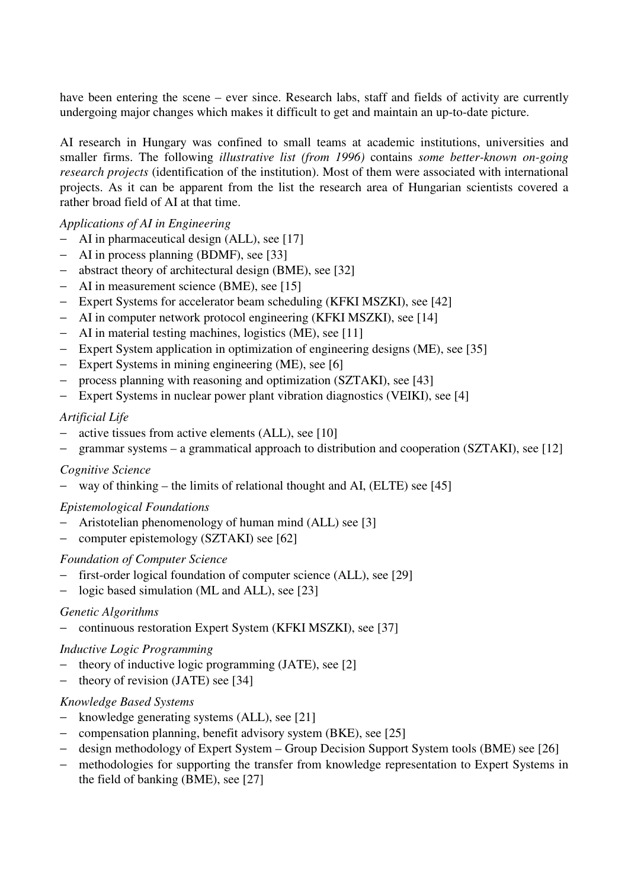have been entering the scene – ever since. Research labs, staff and fields of activity are currently undergoing major changes which makes it difficult to get and maintain an up-to-date picture.

AI research in Hungary was confined to small teams at academic institutions, universities and smaller firms. The following *illustrative list (from 1996)* contains *some better-known on-going research projects* (identification of the institution). Most of them were associated with international projects. As it can be apparent from the list the research area of Hungarian scientists covered a rather broad field of AI at that time.

#### *Applications of AI in Engineering*

- − AI in pharmaceutical design (ALL), see [17]
- − AI in process planning (BDMF), see [33]
- − abstract theory of architectural design (BME), see [32]
- − AI in measurement science (BME), see [15]
- − Expert Systems for accelerator beam scheduling (KFKI MSZKI), see [42]
- − AI in computer network protocol engineering (KFKI MSZKI), see [14]
- − AI in material testing machines, logistics (ME), see [11]
- − Expert System application in optimization of engineering designs (ME), see [35]
- − Expert Systems in mining engineering (ME), see [6]
- − process planning with reasoning and optimization (SZTAKI), see [43]
- − Expert Systems in nuclear power plant vibration diagnostics (VEIKI), see [4]

#### *Artificial Life*

- − active tissues from active elements (ALL), see [10]
- − grammar systems a grammatical approach to distribution and cooperation (SZTAKI), see [12]

#### *Cognitive Science*

− way of thinking – the limits of relational thought and AI, (ELTE) see [45]

#### *Epistemological Foundations*

- − Aristotelian phenomenology of human mind (ALL) see [3]
- − computer epistemology (SZTAKI) see [62]

#### *Foundation of Computer Science*

- − first-order logical foundation of computer science (ALL), see [29]
- − logic based simulation (ML and ALL), see [23]

#### *Genetic Algorithms*

− continuous restoration Expert System (KFKI MSZKI), see [37]

#### *Inductive Logic Programming*

- − theory of inductive logic programming (JATE), see [2]
- − theory of revision (JATE) see [34]

#### *Knowledge Based Systems*

- − knowledge generating systems (ALL), see [21]
- − compensation planning, benefit advisory system (BKE), see [25]
- − design methodology of Expert System Group Decision Support System tools (BME) see [26]
- − methodologies for supporting the transfer from knowledge representation to Expert Systems in the field of banking (BME), see [27]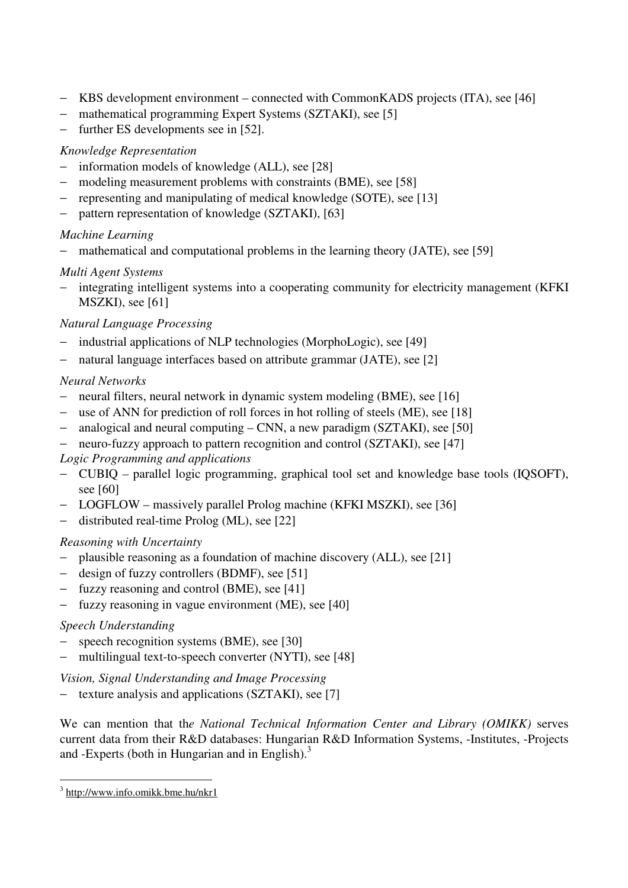- − KBS development environment connected with CommonKADS projects (ITA), see [46]
- − mathematical programming Expert Systems (SZTAKI), see [5]
- − further ES developments see in [52].

#### *Knowledge Representation*

- − information models of knowledge (ALL), see [28]
- − modeling measurement problems with constraints (BME), see [58]
- − representing and manipulating of medical knowledge (SOTE), see [13]
- − pattern representation of knowledge (SZTAKI), [63]

#### *Machine Learning*

− mathematical and computational problems in the learning theory (JATE), see [59]

## *Multi Agent Systems*

− integrating intelligent systems into a cooperating community for electricity management (KFKI MSZKI), see [61]

## *Natural Language Processing*

- industrial applications of NLP technologies (MorphoLogic), see [49]
- − natural language interfaces based on attribute grammar (JATE), see [2]

## *Neural Networks*

- − neural filters, neural network in dynamic system modeling (BME), see [16]
- − use of ANN for prediction of roll forces in hot rolling of steels (ME), see [18]
- − analogical and neural computing CNN, a new paradigm (SZTAKI), see [50]
- − neuro-fuzzy approach to pattern recognition and control (SZTAKI), see [47]

## *Logic Programming and applications*

- − CUBIQ parallel logic programming, graphical tool set and knowledge base tools (IQSOFT), see [60]
- − LOGFLOW massively parallel Prolog machine (KFKI MSZKI), see [36]
- − distributed real-time Prolog (ML), see [22]

## *Reasoning with Uncertainty*

- − plausible reasoning as a foundation of machine discovery (ALL), see [21]
- − design of fuzzy controllers (BDMF), see [51]
- − fuzzy reasoning and control (BME), see [41]
- − fuzzy reasoning in vague environment (ME), see [40]

## *Speech Understanding*

- − speech recognition systems (BME), see [30]
- − multilingual text-to-speech converter (NYTI), see [48]

*Vision, Signal Understanding and Image Processing* 

− texture analysis and applications (SZTAKI), see [7]

We can mention that th*e National Technical Information Center and Library (OMIKK)* serves current data from their R&D databases: Hungarian R&D Information Systems, -Institutes, -Projects and -Experts (both in Hungarian and in English). $3$ 

 $\overline{a}$ <sup>3</sup> http://www.info.omikk.bme.hu/nkr1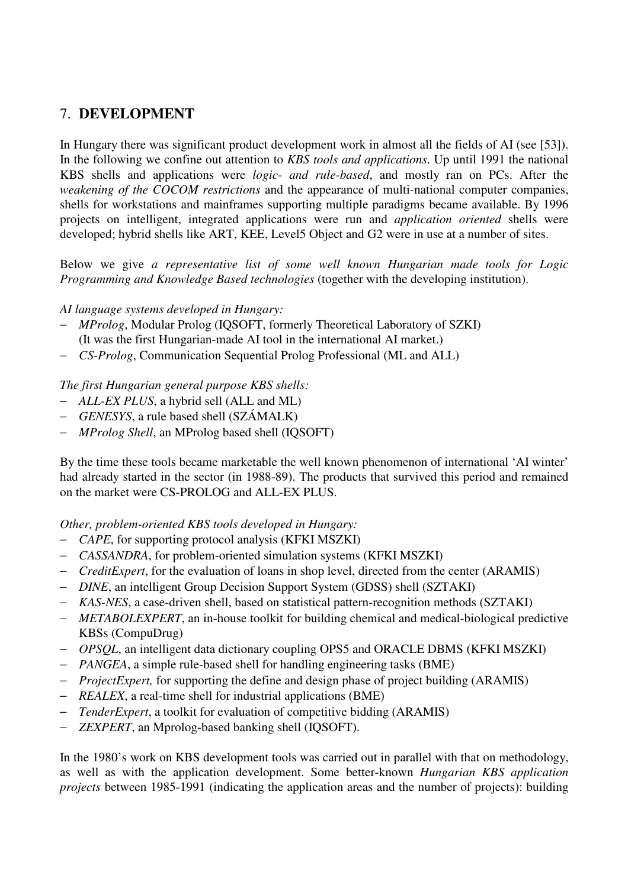## 7. **DEVELOPMENT**

In Hungary there was significant product development work in almost all the fields of AI (see [53]). In the following we confine out attention to *KBS tools and applications*. Up until 1991 the national KBS shells and applications were *logic- and rule-based*, and mostly ran on PCs. After the *weakening of the COCOM restrictions* and the appearance of multi-national computer companies, shells for workstations and mainframes supporting multiple paradigms became available. By 1996 projects on intelligent, integrated applications were run and *application oriented* shells were developed; hybrid shells like ART, KEE, Level5 Object and G2 were in use at a number of sites.

Below we give *a representative list of some well known Hungarian made tools for Logic Programming and Knowledge Based technologies* (together with the developing institution).

#### *AI language systems developed in Hungary:*

- − *MProlog*, Modular Prolog (IQSOFT, formerly Theoretical Laboratory of SZKI) (It was the first Hungarian-made AI tool in the international AI market.)
- − *CS-Prolog*, Communication Sequential Prolog Professional (ML and ALL)

#### *The first Hungarian general purpose KBS shells:*

- − *ALL-EX PLUS*, a hybrid sell (ALL and ML)
- − *GENESYS*, a rule based shell (SZÁMALK)
- − *MProlog Shell*, an MProlog based shell (IQSOFT)

By the time these tools became marketable the well known phenomenon of international 'AI winter' had already started in the sector (in 1988-89). The products that survived this period and remained on the market were CS-PROLOG and ALL-EX PLUS.

#### *Other, problem-oriented KBS tools developed in Hungary:*

- − *CAPE*, for supporting protocol analysis (KFKI MSZKI)
- − *CASSANDRA*, for problem-oriented simulation systems (KFKI MSZKI)
- − *CreditExpert*, for the evaluation of loans in shop level, directed from the center (ARAMIS)
- − *DINE*, an intelligent Group Decision Support System (GDSS) shell (SZTAKI)
- − *KAS-NES*, a case-driven shell, based on statistical pattern-recognition methods (SZTAKI)
- − *METABOLEXPERT*, an in-house toolkit for building chemical and medical-biological predictive KBSs (CompuDrug)
- − *OPSQL*, an intelligent data dictionary coupling OPS5 and ORACLE DBMS (KFKI MSZKI)
- − *PANGEA*, a simple rule-based shell for handling engineering tasks (BME)
- − *ProjectExpert,* for supporting the define and design phase of project building (ARAMIS)
- − *REALEX*, a real-time shell for industrial applications (BME)
- − *TenderExpert*, a toolkit for evaluation of competitive bidding (ARAMIS)
- − *ZEXPERT*, an Mprolog-based banking shell (IQSOFT).

In the 1980's work on KBS development tools was carried out in parallel with that on methodology, as well as with the application development. Some better-known *Hungarian KBS application projects* between 1985-1991 (indicating the application areas and the number of projects): building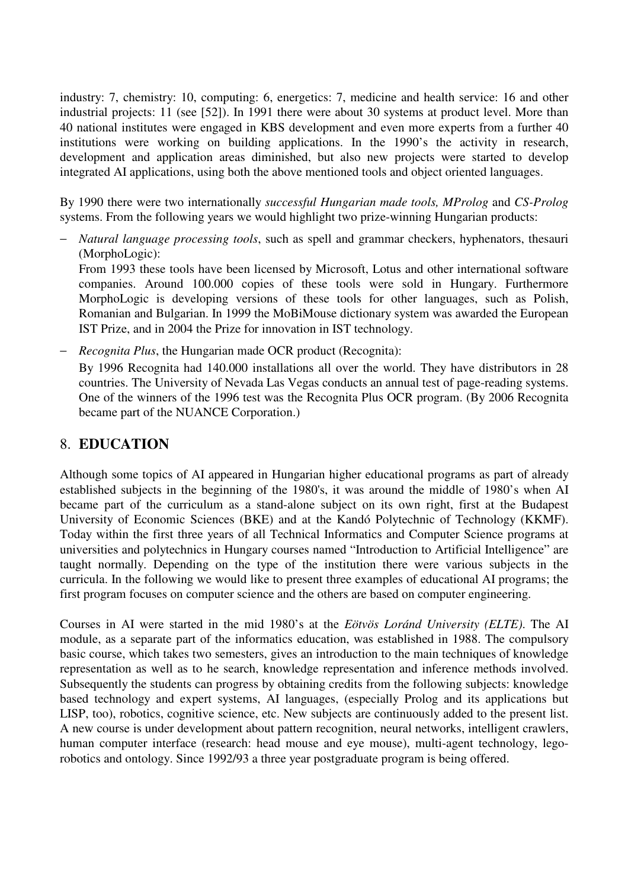industry: 7, chemistry: 10, computing: 6, energetics: 7, medicine and health service: 16 and other industrial projects: 11 (see [52]). In 1991 there were about 30 systems at product level. More than 40 national institutes were engaged in KBS development and even more experts from a further 40 institutions were working on building applications. In the 1990's the activity in research, development and application areas diminished, but also new projects were started to develop integrated AI applications, using both the above mentioned tools and object oriented languages.

By 1990 there were two internationally *successful Hungarian made tools, MProlog* and *CS-Prolog*  systems. From the following years we would highlight two prize-winning Hungarian products:

− *Natural language processing tools*, such as spell and grammar checkers, hyphenators, thesauri (MorphoLogic): From 1993 these tools have been licensed by Microsoft, Lotus and other international software companies. Around 100.000 copies of these tools were sold in Hungary. Furthermore

MorphoLogic is developing versions of these tools for other languages, such as Polish, Romanian and Bulgarian. In 1999 the MoBiMouse dictionary system was awarded the European IST Prize, and in 2004 the Prize for innovation in IST technology.

− *Recognita Plus*, the Hungarian made OCR product (Recognita): By 1996 Recognita had 140.000 installations all over the world. They have distributors in 28 countries. The University of Nevada Las Vegas conducts an annual test of page-reading systems. One of the winners of the 1996 test was the Recognita Plus OCR program. (By 2006 Recognita became part of the NUANCE Corporation.)

## 8. **EDUCATION**

Although some topics of AI appeared in Hungarian higher educational programs as part of already established subjects in the beginning of the 1980's, it was around the middle of 1980's when AI became part of the curriculum as a stand-alone subject on its own right, first at the Budapest University of Economic Sciences (BKE) and at the Kandó Polytechnic of Technology (KKMF). Today within the first three years of all Technical Informatics and Computer Science programs at universities and polytechnics in Hungary courses named "Introduction to Artificial Intelligence" are taught normally. Depending on the type of the institution there were various subjects in the curricula. In the following we would like to present three examples of educational AI programs; the first program focuses on computer science and the others are based on computer engineering.

Courses in AI were started in the mid 1980's at the *Eötvös Loránd University (ELTE)*. The AI module, as a separate part of the informatics education, was established in 1988. The compulsory basic course, which takes two semesters, gives an introduction to the main techniques of knowledge representation as well as to he search, knowledge representation and inference methods involved. Subsequently the students can progress by obtaining credits from the following subjects: knowledge based technology and expert systems, AI languages, (especially Prolog and its applications but LISP, too), robotics, cognitive science, etc. New subjects are continuously added to the present list. A new course is under development about pattern recognition, neural networks, intelligent crawlers, human computer interface (research: head mouse and eye mouse), multi-agent technology, legorobotics and ontology. Since 1992/93 a three year postgraduate program is being offered.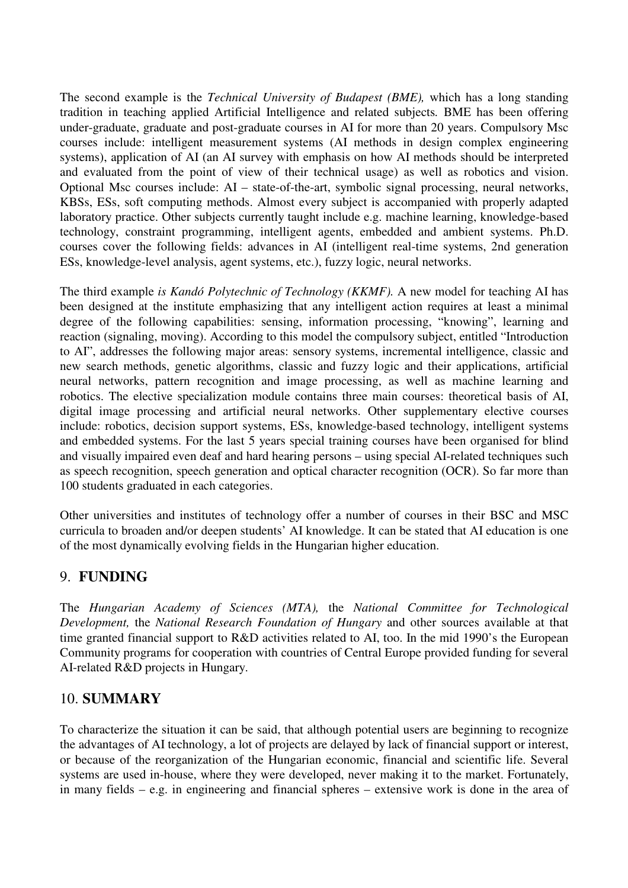The second example is the *Technical University of Budapest (BME),* which has a long standing tradition in teaching applied Artificial Intelligence and related subjects*.* BME has been offering under-graduate, graduate and post-graduate courses in AI for more than 20 years. Compulsory Msc courses include: intelligent measurement systems (AI methods in design complex engineering systems), application of AI (an AI survey with emphasis on how AI methods should be interpreted and evaluated from the point of view of their technical usage) as well as robotics and vision. Optional Msc courses include: AI – state-of-the-art, symbolic signal processing, neural networks, KBSs, ESs, soft computing methods. Almost every subject is accompanied with properly adapted laboratory practice. Other subjects currently taught include e.g. machine learning, knowledge-based technology, constraint programming, intelligent agents, embedded and ambient systems. Ph.D. courses cover the following fields: advances in AI (intelligent real-time systems, 2nd generation ESs, knowledge-level analysis, agent systems, etc.), fuzzy logic, neural networks.

The third example *is Kandó Polytechnic of Technology (KKMF).* A new model for teaching AI has been designed at the institute emphasizing that any intelligent action requires at least a minimal degree of the following capabilities: sensing, information processing, "knowing", learning and reaction (signaling, moving). According to this model the compulsory subject, entitled "Introduction to AI", addresses the following major areas: sensory systems, incremental intelligence, classic and new search methods, genetic algorithms, classic and fuzzy logic and their applications, artificial neural networks, pattern recognition and image processing, as well as machine learning and robotics. The elective specialization module contains three main courses: theoretical basis of AI, digital image processing and artificial neural networks. Other supplementary elective courses include: robotics, decision support systems, ESs, knowledge-based technology, intelligent systems and embedded systems. For the last 5 years special training courses have been organised for blind and visually impaired even deaf and hard hearing persons – using special AI-related techniques such as speech recognition, speech generation and optical character recognition (OCR). So far more than 100 students graduated in each categories.

Other universities and institutes of technology offer a number of courses in their BSC and MSC curricula to broaden and/or deepen students' AI knowledge. It can be stated that AI education is one of the most dynamically evolving fields in the Hungarian higher education.

## 9. **FUNDING**

The *Hungarian Academy of Sciences (MTA),* the *National Committee for Technological Development,* the *National Research Foundation of Hungary* and other sources available at that time granted financial support to R&D activities related to AI, too. In the mid 1990's the European Community programs for cooperation with countries of Central Europe provided funding for several AI-related R&D projects in Hungary.

## 10. **SUMMARY**

To characterize the situation it can be said, that although potential users are beginning to recognize the advantages of AI technology, a lot of projects are delayed by lack of financial support or interest, or because of the reorganization of the Hungarian economic, financial and scientific life. Several systems are used in-house, where they were developed, never making it to the market. Fortunately, in many fields – e.g. in engineering and financial spheres – extensive work is done in the area of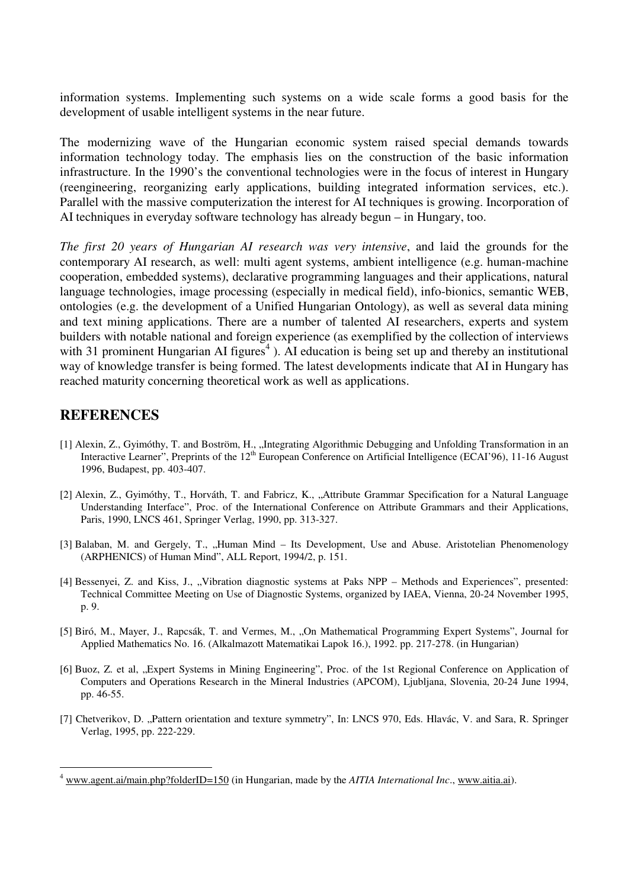information systems. Implementing such systems on a wide scale forms a good basis for the development of usable intelligent systems in the near future.

The modernizing wave of the Hungarian economic system raised special demands towards information technology today. The emphasis lies on the construction of the basic information infrastructure. In the 1990's the conventional technologies were in the focus of interest in Hungary (reengineering, reorganizing early applications, building integrated information services, etc.). Parallel with the massive computerization the interest for AI techniques is growing. Incorporation of AI techniques in everyday software technology has already begun – in Hungary, too.

*The first 20 years of Hungarian AI research was very intensive*, and laid the grounds for the contemporary AI research, as well: multi agent systems, ambient intelligence (e.g. human-machine cooperation, embedded systems), declarative programming languages and their applications, natural language technologies, image processing (especially in medical field), info-bionics, semantic WEB, ontologies (e.g. the development of a Unified Hungarian Ontology), as well as several data mining and text mining applications. There are a number of talented AI researchers, experts and system builders with notable national and foreign experience (as exemplified by the collection of interviews with 31 prominent Hungarian AI figures<sup>4</sup>). AI education is being set up and thereby an institutional way of knowledge transfer is being formed. The latest developments indicate that AI in Hungary has reached maturity concerning theoretical work as well as applications.

#### **REFERENCES**

 $\overline{a}$ 

- [1] Alexin, Z., Gyimóthy, T. and Boström, H., "Integrating Algorithmic Debugging and Unfolding Transformation in an Interactive Learner", Preprints of the  $12<sup>th</sup>$  European Conference on Artificial Intelligence (ECAI'96), 11-16 August 1996, Budapest, pp. 403-407.
- [2] Alexin, Z., Gyimóthy, T., Horváth, T. and Fabricz, K., "Attribute Grammar Specification for a Natural Language Understanding Interface", Proc. of the International Conference on Attribute Grammars and their Applications, Paris, 1990, LNCS 461, Springer Verlag, 1990, pp. 313-327.
- [3] Balaban, M. and Gergely, T., "Human Mind Its Development, Use and Abuse. Aristotelian Phenomenology (ARPHENICS) of Human Mind", ALL Report, 1994/2, p. 151.
- [4] Bessenyei, Z. and Kiss, J., "Vibration diagnostic systems at Paks NPP Methods and Experiences", presented: Technical Committee Meeting on Use of Diagnostic Systems, organized by IAEA, Vienna, 20-24 November 1995, p. 9.
- [5] Biró, M., Mayer, J., Rapcsák, T. and Vermes, M., "On Mathematical Programming Expert Systems", Journal for Applied Mathematics No. 16. (Alkalmazott Matematikai Lapok 16.), 1992. pp. 217-278. (in Hungarian)
- [6] Buoz, Z. et al, "Expert Systems in Mining Engineering", Proc. of the 1st Regional Conference on Application of Computers and Operations Research in the Mineral Industries (APCOM), Ljubljana, Slovenia, 20-24 June 1994, pp. 46-55.
- [7] Chetverikov, D. "Pattern orientation and texture symmetry", In: LNCS 970, Eds. Hlavác, V. and Sara, R. Springer Verlag, 1995, pp. 222-229.

<sup>4</sup> www.agent.ai/main.php?folderID=150 (in Hungarian, made by the *AITIA International Inc*., www.aitia.ai).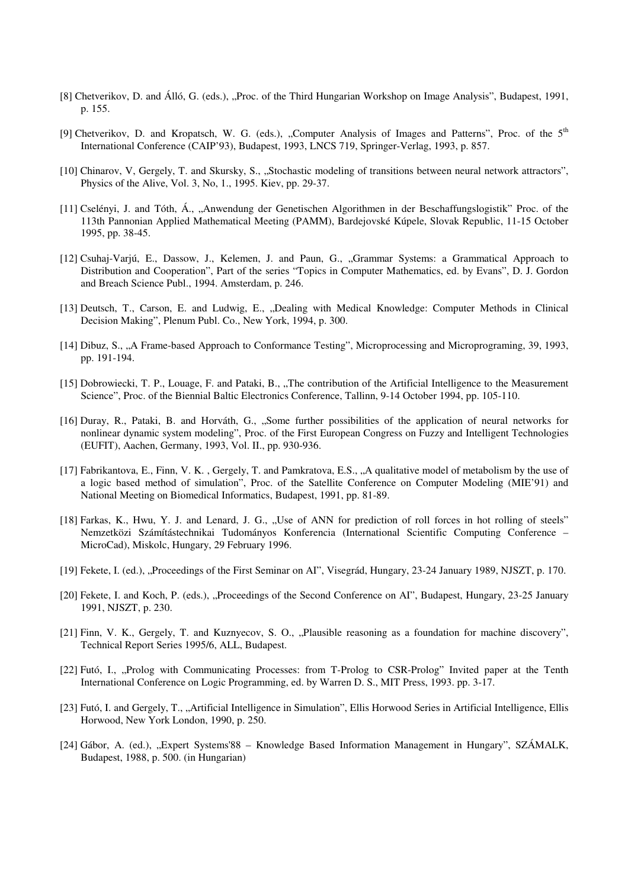- [8] Chetverikov, D. and Álló, G. (eds.), "Proc. of the Third Hungarian Workshop on Image Analysis", Budapest, 1991, p. 155.
- [9] Chetverikov, D. and Kropatsch, W. G. (eds.), "Computer Analysis of Images and Patterns", Proc. of the 5<sup>th</sup> International Conference (CAIP'93), Budapest, 1993, LNCS 719, Springer-Verlag, 1993, p. 857.
- [10] Chinarov, V, Gergely, T. and Skursky, S., "Stochastic modeling of transitions between neural network attractors", Physics of the Alive, Vol. 3, No, 1., 1995. Kiev, pp. 29-37.
- [11] Cselényi, J. and Tóth, Á., "Anwendung der Genetischen Algorithmen in der Beschaffungslogistik" Proc. of the 113th Pannonian Applied Mathematical Meeting (PAMM), Bardejovské Kúpele, Slovak Republic, 11-15 October 1995, pp. 38-45.
- [12] Csuhaj-Varjú, E., Dassow, J., Kelemen, J. and Paun, G., "Grammar Systems: a Grammatical Approach to Distribution and Cooperation", Part of the series "Topics in Computer Mathematics, ed. by Evans", D. J. Gordon and Breach Science Publ., 1994. Amsterdam, p. 246.
- [13] Deutsch, T., Carson, E. and Ludwig, E., "Dealing with Medical Knowledge: Computer Methods in Clinical Decision Making", Plenum Publ. Co., New York, 1994, p. 300.
- [14] Dibuz, S., "A Frame-based Approach to Conformance Testing", Microprocessing and Microprograming, 39, 1993, pp. 191-194.
- [15] Dobrowiecki, T. P., Louage, F. and Pataki, B., "The contribution of the Artificial Intelligence to the Measurement Science", Proc. of the Biennial Baltic Electronics Conference, Tallinn, 9-14 October 1994, pp. 105-110.
- [16] Duray, R., Pataki, B. and Horváth, G., "Some further possibilities of the application of neural networks for nonlinear dynamic system modeling", Proc. of the First European Congress on Fuzzy and Intelligent Technologies (EUFIT), Aachen, Germany, 1993, Vol. II., pp. 930-936.
- [17] Fabrikantova, E., Finn, V. K. , Gergely, T. and Pamkratova, E.S., "A qualitative model of metabolism by the use of a logic based method of simulation", Proc. of the Satellite Conference on Computer Modeling (MIE'91) and National Meeting on Biomedical Informatics, Budapest, 1991, pp. 81-89.
- [18] Farkas, K., Hwu, Y. J. and Lenard, J. G., "Use of ANN for prediction of roll forces in hot rolling of steels" Nemzetközi Számítástechnikai Tudományos Konferencia (International Scientific Computing Conference – MicroCad), Miskolc, Hungary, 29 February 1996.
- [19] Fekete, I. (ed.), "Proceedings of the First Seminar on AI", Visegrád, Hungary, 23-24 January 1989, NJSZT, p. 170.
- [20] Fekete, I. and Koch, P. (eds.), "Proceedings of the Second Conference on AI", Budapest, Hungary, 23-25 January 1991, NJSZT, p. 230.
- [21] Finn, V. K., Gergely, T. and Kuznyecov, S. O., "Plausible reasoning as a foundation for machine discovery", Technical Report Series 1995/6, ALL, Budapest.
- [22] Futó, I., "Prolog with Communicating Processes: from T-Prolog to CSR-Prolog" Invited paper at the Tenth International Conference on Logic Programming, ed. by Warren D. S., MIT Press, 1993. pp. 3-17.
- [23] Futó, I. and Gergely, T., "Artificial Intelligence in Simulation", Ellis Horwood Series in Artificial Intelligence, Ellis Horwood, New York London, 1990, p. 250.
- [24] Gábor, A. (ed.), "Expert Systems'88 Knowledge Based Information Management in Hungary", SZÁMALK, Budapest, 1988, p. 500. (in Hungarian)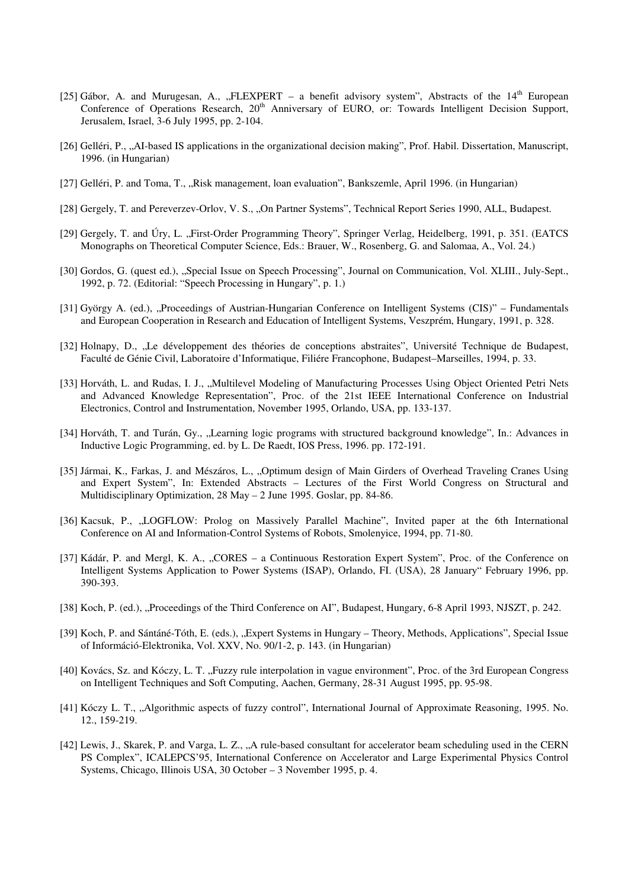- [25] Gábor, A. and Murugesan, A., "FLEXPERT a benefit advisory system", Abstracts of the 14<sup>th</sup> European Conference of Operations Research, 20<sup>th</sup> Anniversary of EURO, or: Towards Intelligent Decision Support, Jerusalem, Israel, 3-6 July 1995, pp. 2-104.
- [26] Gelléri, P., "AI-based IS applications in the organizational decision making", Prof. Habil. Dissertation, Manuscript, 1996. (in Hungarian)
- [27] Gelléri, P. and Toma, T., .,Risk management, loan evaluation", Bankszemle, April 1996. (in Hungarian)
- [28] Gergely, T. and Pereverzev-Orlov, V. S., "On Partner Systems", Technical Report Series 1990, ALL, Budapest.
- [29] Gergely, T. and Úry, L. "First-Order Programming Theory", Springer Verlag, Heidelberg, 1991, p. 351. (EATCS Monographs on Theoretical Computer Science, Eds.: Brauer, W., Rosenberg, G. and Salomaa, A., Vol. 24.)
- [30] Gordos, G. (quest ed.), "Special Issue on Speech Processing", Journal on Communication, Vol. XLIII., July-Sept., 1992, p. 72. (Editorial: "Speech Processing in Hungary", p. 1.)
- [31] György A. (ed.), "Proceedings of Austrian-Hungarian Conference on Intelligent Systems (CIS)" Fundamentals and European Cooperation in Research and Education of Intelligent Systems, Veszprém, Hungary, 1991, p. 328.
- [32] Holnapy, D., ., Le développement des théories de conceptions abstraites", Université Technique de Budapest, Faculté de Génie Civil, Laboratoire d'Informatique, Filiére Francophone, Budapest–Marseilles, 1994, p. 33.
- [33] Horváth, L. and Rudas, I. J., "Multilevel Modeling of Manufacturing Processes Using Object Oriented Petri Nets and Advanced Knowledge Representation", Proc. of the 21st IEEE International Conference on Industrial Electronics, Control and Instrumentation, November 1995, Orlando, USA, pp. 133-137.
- [34] Horváth, T. and Turán, Gy., "Learning logic programs with structured background knowledge", In.: Advances in Inductive Logic Programming, ed. by L. De Raedt, IOS Press, 1996. pp. 172-191.
- [35] Jármai, K., Farkas, J. and Mészáros, L., "Optimum design of Main Girders of Overhead Traveling Cranes Using and Expert System", In: Extended Abstracts – Lectures of the First World Congress on Structural and Multidisciplinary Optimization, 28 May – 2 June 1995. Goslar, pp. 84-86.
- [36] Kacsuk, P., "LOGFLOW: Prolog on Massively Parallel Machine", Invited paper at the 6th International Conference on AI and Information-Control Systems of Robots, Smolenyice, 1994, pp. 71-80.
- [37] Kádár, P. and Mergl, K. A., "CORES a Continuous Restoration Expert System", Proc. of the Conference on Intelligent Systems Application to Power Systems (ISAP), Orlando, FI. (USA), 28 January" February 1996, pp. 390-393.
- [38] Koch, P. (ed.), "Proceedings of the Third Conference on AI", Budapest, Hungary, 6-8 April 1993, NJSZT, p. 242.
- [39] Koch, P. and Sántáné-Tóth, E. (eds.), "Expert Systems in Hungary Theory, Methods, Applications", Special Issue of Információ-Elektronika, Vol. XXV, No. 90/1-2, p. 143. (in Hungarian)
- [40] Kovács, Sz. and Kóczy, L. T. "Fuzzy rule interpolation in vague environment", Proc. of the 3rd European Congress on Intelligent Techniques and Soft Computing, Aachen, Germany, 28-31 August 1995, pp. 95-98.
- [41] Kóczy L. T., "Algorithmic aspects of fuzzy control", International Journal of Approximate Reasoning, 1995. No. 12., 159-219.
- [42] Lewis, J., Skarek, P. and Varga, L. Z., "A rule-based consultant for accelerator beam scheduling used in the CERN PS Complex", ICALEPCS'95, International Conference on Accelerator and Large Experimental Physics Control Systems, Chicago, Illinois USA, 30 October – 3 November 1995, p. 4.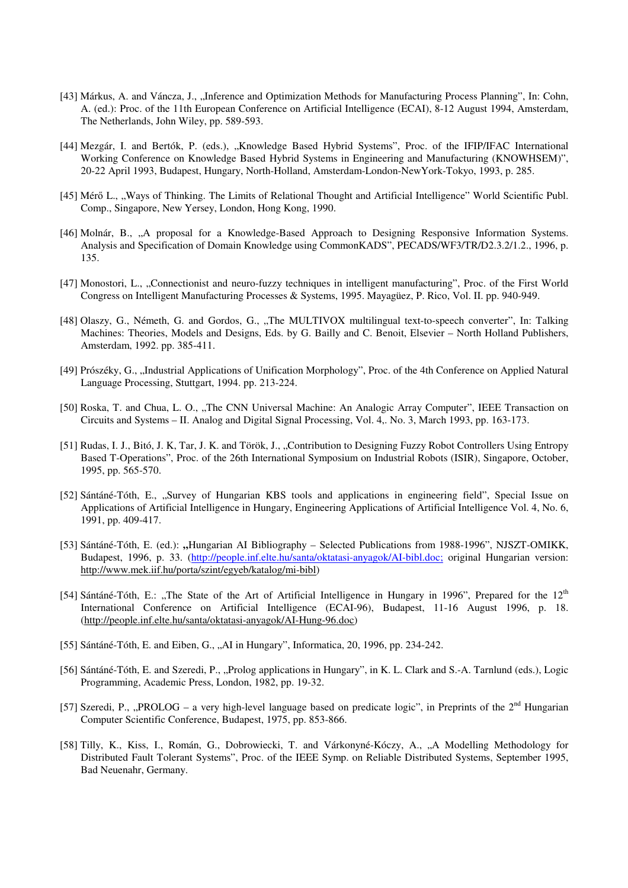- [43] Márkus, A. and Váncza, J., "Inference and Optimization Methods for Manufacturing Process Planning", In: Cohn, A. (ed.): Proc. of the 11th European Conference on Artificial Intelligence (ECAI), 8-12 August 1994, Amsterdam, The Netherlands, John Wiley, pp. 589-593.
- [44] Mezgár, I. and Bertók, P. (eds.), "Knowledge Based Hybrid Systems", Proc. of the IFIP/IFAC International Working Conference on Knowledge Based Hybrid Systems in Engineering and Manufacturing (KNOWHSEM)", 20-22 April 1993, Budapest, Hungary, North-Holland, Amsterdam-London-NewYork-Tokyo, 1993, p. 285.
- [45] Mérő L., "Ways of Thinking. The Limits of Relational Thought and Artificial Intelligence" World Scientific Publ. Comp., Singapore, New Yersey, London, Hong Kong, 1990.
- [46] Molnár, B., "A proposal for a Knowledge-Based Approach to Designing Responsive Information Systems. Analysis and Specification of Domain Knowledge using CommonKADS", PECADS/WF3/TR/D2.3.2/1.2., 1996, p. 135.
- [47] Monostori, L., "Connectionist and neuro-fuzzy techniques in intelligent manufacturing", Proc. of the First World Congress on Intelligent Manufacturing Processes & Systems, 1995. Mayagüez, P. Rico, Vol. II. pp. 940-949.
- [48] Olaszy, G., Németh, G. and Gordos, G., "The MULTIVOX multilingual text-to-speech converter", In: Talking Machines: Theories, Models and Designs, Eds. by G. Bailly and C. Benoit, Elsevier – North Holland Publishers, Amsterdam, 1992. pp. 385-411.
- [49] Prószéky, G., "Industrial Applications of Unification Morphology", Proc. of the 4th Conference on Applied Natural Language Processing, Stuttgart, 1994. pp. 213-224.
- [50] Roska, T. and Chua, L. O., "The CNN Universal Machine: An Analogic Array Computer", IEEE Transaction on Circuits and Systems – II. Analog and Digital Signal Processing, Vol. 4,. No. 3, March 1993, pp. 163-173.
- [51] Rudas, I. J., Bitó, J. K, Tar, J. K. and Török, J., "Contribution to Designing Fuzzy Robot Controllers Using Entropy Based T-Operations", Proc. of the 26th International Symposium on Industrial Robots (ISIR), Singapore, October, 1995, pp. 565-570.
- [52] Sántáné-Tóth, E., "Survey of Hungarian KBS tools and applications in engineering field", Special Issue on Applications of Artificial Intelligence in Hungary, Engineering Applications of Artificial Intelligence Vol. 4, No. 6, 1991, pp. 409-417.
- [53] Sántáné-Tóth, E. (ed.): "Hungarian AI Bibliography Selected Publications from 1988-1996", NJSZT-OMIKK, Budapest, 1996, p. 33. (http://people.inf.elte.hu/santa/oktatasi-anyagok/AI-bibl.doc; original Hungarian version: http://www.mek.iif.hu/porta/szint/egyeb/katalog/mi-bibl)
- [54] Sántáné-Tóth, E.: "The State of the Art of Artificial Intelligence in Hungary in 1996", Prepared for the  $12<sup>th</sup>$ International Conference on Artificial Intelligence (ECAI-96), Budapest, 11-16 August 1996, p. 18. (http://people.inf.elte.hu/santa/oktatasi-anyagok/AI-Hung-96.doc)
- [55] Sántáné-Tóth, E. and Eiben, G., "AI in Hungary", Informatica, 20, 1996, pp. 234-242.
- [56] Sántáné-Tóth, E. and Szeredi, P., "Prolog applications in Hungary", in K. L. Clark and S.-A. Tarnlund (eds.), Logic Programming, Academic Press, London, 1982, pp. 19-32.
- [57] Szeredi, P., "PROLOG a very high-level language based on predicate logic", in Preprints of the  $2^{nd}$  Hungarian Computer Scientific Conference, Budapest, 1975, pp. 853-866.
- [58] Tilly, K., Kiss, I., Román, G., Dobrowiecki, T. and Várkonyné-Kóczy, A., "A Modelling Methodology for Distributed Fault Tolerant Systems", Proc. of the IEEE Symp. on Reliable Distributed Systems, September 1995, Bad Neuenahr, Germany.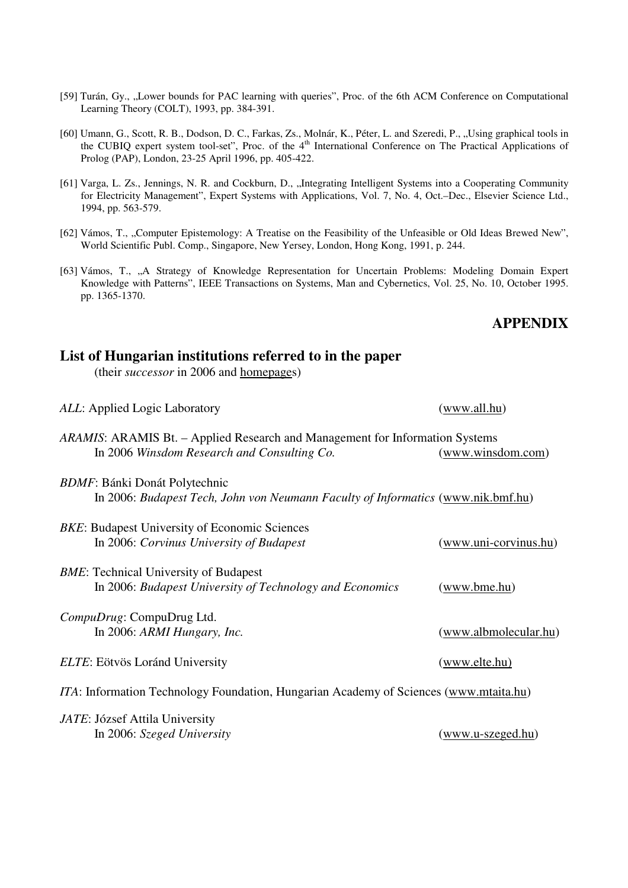- [59] Turán, Gy., "Lower bounds for PAC learning with queries", Proc. of the 6th ACM Conference on Computational Learning Theory (COLT), 1993, pp. 384-391.
- [60] Umann, G., Scott, R. B., Dodson, D. C., Farkas, Zs., Molnár, K., Péter, L. and Szeredi, P., "Using graphical tools in the CUBIQ expert system tool-set", Proc. of the 4<sup>th</sup> International Conference on The Practical Applications of Prolog (PAP), London, 23-25 April 1996, pp. 405-422.
- [61] Varga, L. Zs., Jennings, N. R. and Cockburn, D., "Integrating Intelligent Systems into a Cooperating Community for Electricity Management", Expert Systems with Applications, Vol. 7, No. 4, Oct.–Dec., Elsevier Science Ltd., 1994, pp. 563-579.
- [62] Vámos, T., "Computer Epistemology: A Treatise on the Feasibility of the Unfeasible or Old Ideas Brewed New", World Scientific Publ. Comp., Singapore, New Yersey, London, Hong Kong, 1991, p. 244.
- [63] Vámos, T., "A Strategy of Knowledge Representation for Uncertain Problems: Modeling Domain Expert Knowledge with Patterns", IEEE Transactions on Systems, Man and Cybernetics, Vol. 25, No. 10, October 1995. pp. 1365-1370.

#### **APPENDIX**

| (www.all.hu)                                                                                      |
|---------------------------------------------------------------------------------------------------|
| ARAMIS: ARAMIS Bt. – Applied Research and Management for Information Systems<br>(www.winsdom.com) |
| In 2006: Budapest Tech, John von Neumann Faculty of Informatics (www.nik.bmf.hu)                  |
| (www.uni-corvinus.hu)                                                                             |
| (www.bme.hu)                                                                                      |
| (www.albmolecular.hu)                                                                             |
| (www.elte.hu)                                                                                     |
| <i>ITA</i> : Information Technology Foundation, Hungarian Academy of Sciences (www.mtaita.hu)     |
| (www.u-szeged.hu)                                                                                 |
|                                                                                                   |